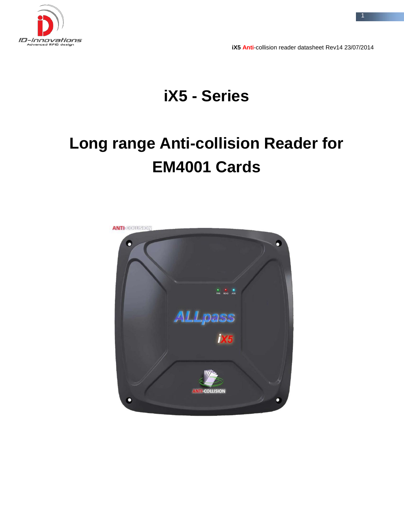

**iX5 Anti**-collision reader datasheet Rev14 23/07/2014

# **iX5 - Series**

# **Long range Anti-collision Reader for EM4001 Cards**

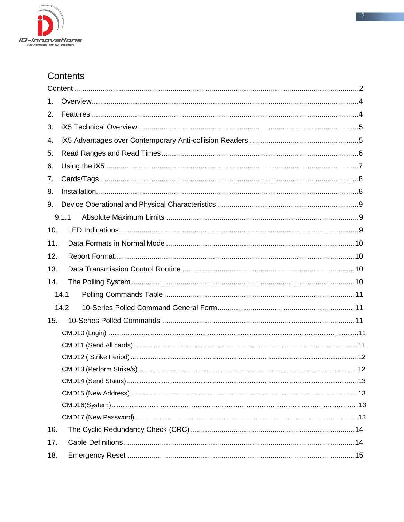

### Contents

| 1.  |       |  |
|-----|-------|--|
| 2.  |       |  |
| 3.  |       |  |
| 4.  |       |  |
| 5.  |       |  |
| 6.  |       |  |
| 7.  |       |  |
| 8.  |       |  |
| 9.  |       |  |
|     | 9.1.1 |  |
| 10. |       |  |
| 11. |       |  |
| 12. |       |  |
| 13. |       |  |
| 14. |       |  |
|     | 14.1  |  |
|     | 14.2  |  |
| 15. |       |  |
|     |       |  |
|     |       |  |
|     |       |  |
|     |       |  |
|     |       |  |
|     |       |  |
|     |       |  |
|     |       |  |
| 16. |       |  |
| 17. |       |  |
| 18. |       |  |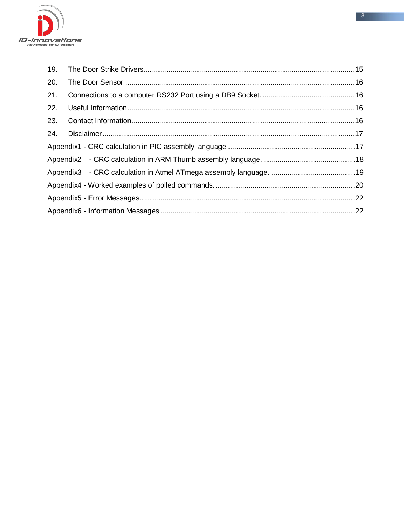

| 19. |  |
|-----|--|
| 20. |  |
| 21. |  |
| 22. |  |
| 23. |  |
| 24. |  |
|     |  |
|     |  |
|     |  |
|     |  |
|     |  |
|     |  |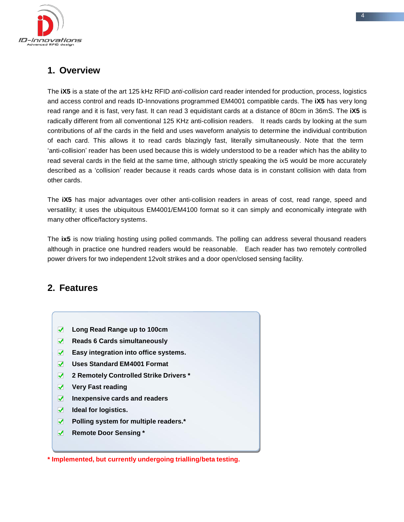

### **1. Overview**

The **iX5** is a state of the art 125 kHz RFID *anti-collision* card reader intended for production, process, logistics and access control and reads ID-Innovations programmed EM4001 compatible cards. The **iX5** has very long read range and it is fast, very fast. It can read 3 equidistant cards at a distance of 80cm in 36mS. The **iX5** is radically different from all conventional 125 KHz anti-collision readers. It reads cards by looking at the sum contributions of *all* the cards in the field and uses waveform analysis to determine the individual contribution of each card. This allows it to read cards blazingly fast, literally simultaneously. Note that the term 'anti-collision' reader has been used because this is widely understood to be a reader which has the ability to read several cards in the field at the same time, although strictly speaking the ix5 would be more accurately described as a 'collision' reader because it reads cards whose data is in constant collision with data from other cards.

The **iX5** has major advantages over other anti-collision readers in areas of cost, read range, speed and versatility; it uses the ubiquitous EM4001/EM4100 format so it can simply and economically integrate with many other office/factory systems.

The **ix5** is now trialing hosting using polled commands. The polling can address several thousand readers although in practice one hundred readers would be reasonable. Each reader has two remotely controlled power drivers for two independent 12volt strikes and a door open/closed sensing facility.

### **2. Features**

- **Long Read Range up to 100cm**
- **Reads 6 Cards simultaneously**
- **Easy integration into office systems.**
- $\overline{\mathcal{F}}$ **Uses Standard EM4001 Format**
- $\overline{\mathcal{A}}$ **2 Remotely Controlled Strike Drivers \***
- **Very Fast reading**  $\blacktriangledown$
- $\blacktriangledown$ **Inexpensive cards and readers**
- $\overline{\mathcal{A}}$ **Ideal for logistics.**
- **Polling system for multiple readers.\***   $\sqrt{2}$
- **Remote Door Sensing \***  $\sqrt{2}$

**\* Implemented, but currently undergoing trialling/beta testing.**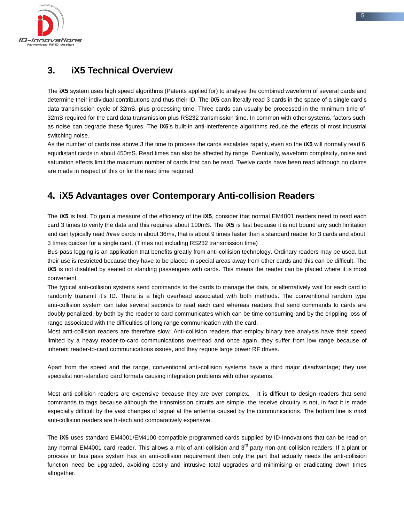

### **3. iX5 Technical Overview**

The **iX5** system uses high speed algorithms (Patents applied for) to analyse the combined waveform of several cards and determine their individual contributions and thus their ID. The **iX5** can literally read 3 cards in the space of a single card's data transmission cycle of 32mS, plus processing time. Three cards can usually be processed in the minimum time of 32mS required for the card data transmission plus RS232 transmission time. In common with other systems, factors such as noise can degrade these figures. The **iX5**'s built-in anti-interference algorithms reduce the effects of most industrial switching noise.

As the number of cards rise above 3 the time to process the cards escalates rapidly, even so the **iX5** will normally read 6 equidistant cards in about 450mS. Read times can also be affected by range. Eventually, waveform complexity, noise and saturation effects limit the maximum number of cards that can be read. Twelve cards have been read although no claims are made in respect of this or for the read time required.

### **4. iX5 Advantages over Contemporary Anti-collision Readers**

The **iX5** is fast. To gain a measure of the efficiency of the **iX5**, consider that normal EM4001 readers need to read each card 3 times to verify the data and this requires about 100mS. The **iX5** is fast because it is not bound any such limitation and can typically read *three* cards in about 36ms, that is about 9 times faster than a standard reader for 3 cards and about 3 times quicker for a single card. (Times not including RS232 transmission time)

Bus-pass logging is an application that benefits greatly from anti-collision technology. Ordinary readers may be used, but their use is restricted because they have to be placed in special areas away from other cards and this can be difficult. The **iX5** is not disabled by seated or standing passengers with cards. This means the reader can be placed where it is most convenient.

The typical anti-collision systems send commands to the cards to manage the data, or alternatively wait for each card to randomly transmit it's ID. There is a high overhead associated with both methods. The conventional random type anti-collision system can take several seconds to read each card whereas readers that send commands to cards are doubly penalized, by both by the reader to card communicates which can be time consuming and by the crippling loss of range associated with the difficulties of long range communication with the card.

Most anti-collision readers are therefore slow. Anti-collision readers that employ binary tree analysis have their speed limited by a heavy reader-to-card communications overhead and once again, they suffer from low range because of inherent reader-to-card communications issues, and they require large power RF drives.

Apart from the speed and the range, conventional anti-collision systems have a third major disadvantage; they use specialist non-standard card formats causing integration problems with other systems.

Most anti-collision readers are expensive because they are over complex. It is difficult to design readers that send commands to tags because although the transmission circuits are simple, the receive circuitry is not, in fact it is made especially difficult by the vast changes of signal at the antenna caused by the communications. The bottom line is *mos*t anti-collision readers are hi-tech and comparatively expensive.

The **iX5** uses standard EM4001/EM4100 compatible programmed cards supplied by ID-Innovations that can be read on any normal EM4001 card reader. This allows a mix of anti-collision and 3<sup>rd</sup> party non-anti-collision readers. If a plant or process or bus pass system has an anti-collision requirement then only the part that actually needs the anti-collision function need be upgraded, avoiding costly and intrusive total upgrades and minimising or eradicating down times altogether.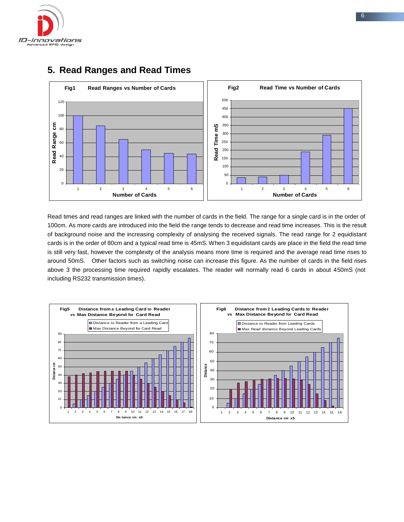



### **5. Read Ranges and Read Times**

Read times and read ranges are linked with the number of cards in the field. The range for a single card is in the order of 100cm. As more cards are introduced into the field the range tends to decrease and read time increases. This is the result of background noise and the increasing complexity of analysing the received signals. The read range for 2 equidistant cards is in the order of 80cm and a typical read time is 45mS. When 3 equidistant cards are place in the field the read time is still very fast, however the complexity of the analysis means more time is required and the average read time rises to around 50mS. Other factors such as switching noise can increase this figure. As the number of cards in the field rises above 3 the processing time required rapidly escalates. The reader will normally read 6 cards in about 450mS (not including RS232 transmission times).

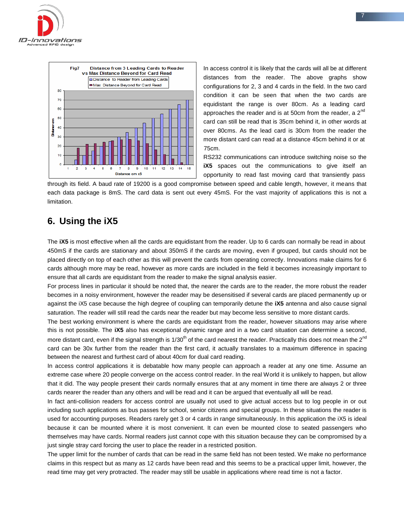



In access control it is likely that the cards will all be at different distances from the reader. The above graphs show configurations for 2, 3 and 4 cards in the field. In the two card condition it can be seen that when the two cards are equidistant the range is over 80cm. As a leading card approaches the reader and is at 50cm from the reader, a 2<sup>nd</sup> card can still be read that is 35cm behind it, in other words at over 80cms. As the lead card is 30cm from the reader the more distant card can read at a distance 45cm behind it or at 75cm.

RS232 communications can introduce switching noise so the **iX5** spaces out the communications to give itself an opportunity to read fast moving card that transiently pass

through its field. A baud rate of 19200 is a good compromise between speed and cable length, however, it means that each data package is 8mS. The card data is sent out every 45mS. For the vast majority of applications this is not a limitation.

### **6. Using the iX5**

The **iX5** is most effective when all the cards are equidistant from the reader. Up to 6 cards can normally be read in about 450mS if the cards are stationary and about 350mS if the cards are moving, even if grouped, but cards should not be placed directly on top of each other as this will prevent the cards from operating correctly. Innovations make claims for 6 cards although more may be read, however as more cards are included in the field it becomes increasingly important to ensure that all cards are equidistant from the reader to make the signal analysis easier.

For process lines in particular it should be noted that, the nearer the cards are to the reader, the more robust the reader becomes in a noisy environment, however the reader may be desensitised if several cards are placed permanently up or against the iX5 case because the high degree of coupling can temporarily detune the **iX5** antenna and also cause signal saturation. The reader will still read the cards near the reader but may become less sensitive to more distant cards.

The best working environment is where the cards are equidistant from the reader, however situations may arise where this is not possible. The **iX5** also has exceptional dynamic range and in a two card situation can determine a second, more distant card, even if the signal strength is 1/30<sup>th</sup> of the card nearest the reader. Practically this does not mean the 2<sup>nd</sup> card can be 30x further from the reader than the first card, it actually translates to a maximum difference in spacing between the nearest and furthest card of about 40cm for dual card reading.

In access control applications it is debatable how many people can approach a reader at any one time. Assume an extreme case where 20 people converge on the access control reader. In the real World it is unlikely to happen, but allow that it did. The way people present their cards normally ensures that at any moment in time there are always 2 or three cards nearer the reader than any others and will be read and it can be argued that eventually all will be read.

In fact anti-collision readers for access control are usually not used to give actual access but to log people in or out including such applications as bus passes for school, senior citizens and special groups. In these situations the reader is used for accounting purposes. Readers rarely get 3 or 4 cards in range simultaneously. In this application the iX5 is ideal because it can be mounted where it is most convenient. It can even be mounted close to seated passengers who themselves may have cards. Normal readers just cannot cope with this situation because they can be compromised by a just single stray card forcing the user to place the reader in a restricted position.

The upper limit for the number of cards that can be read in the same field has not been tested. We make no performance claims in this respect but as many as 12 cards have been read and this seems to be a practical upper limit, however, the read time may get very protracted. The reader may still be usable in applications where read time is not a factor.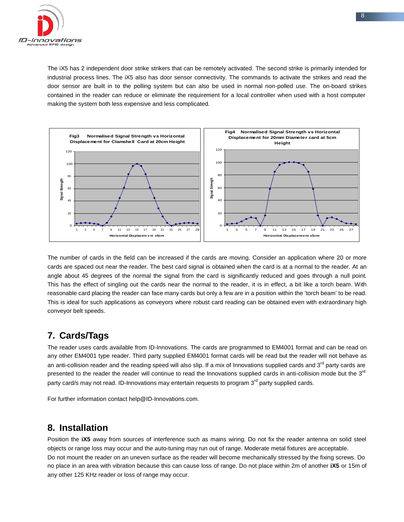

The iX5 has 2 independent door strike strikers that can be remotely activated. The second strike is primarily intended for industrial process lines. The iX5 also has door sensor connectivity. The commands to activate the strikes and read the door sensor are built in to the polling system but can also be used in normal non-polled use. The on-board strikes contained in the reader can reduce or eliminate the requirement for a local controller when used with a host computer making the system both less expensive and less complicated.



The number of cards in the field can be increased if the cards are moving. Consider an application where 20 or more cards are spaced out near the reader. The best card signal is obtained when the card is at a normal to the reader. At an angle about 45 degrees of the normal the signal from the card is significantly reduced and goes through a null point. This has the effect of singling out the cards near the normal to the reader, it is in effect, a bit like a torch beam. With reasonable card placing the reader can face many cards but only a few are in a position within the 'torch beam' to be read. This is ideal for such applications as conveyors where robust card reading can be obtained even with extraordinary high conveyor belt speeds.

### **7. Cards/Tags**

The reader uses cards available from ID-Innovations. The cards are programmed to EM4001 format and can be read on any other EM4001 type reader. Third party supplied EM4001 format cards will be read but the reader will not behave as an anti-collision reader and the reading speed will also slip. If a mix of Innovations supplied cards and 3<sup>rd</sup> party cards are presented to the reader the reader will continue to read the Innovations supplied cards in anti-collision mode but the 3<sup>rd</sup> party card/s may not read. ID-Innovations may entertain requests to program 3<sup>rd</sup> party supplied cards.

For further information contact [help@ID-Innovations.com.](mailto:help@ID-Innovations.com)

### **8. Installation**

Position the **iX5** away from sources of interference such as mains wiring. Do not fix the reader antenna on solid steel objects or range loss may occur and the auto-tuning may run out of range. Moderate metal fixtures are acceptable. Do not mount the reader on an uneven surface as the reader will become mechanically stressed by the fixing screws. Do no place in an area with vibration because this can cause loss of range. Do not place within 2m of another **iX5** or 15m of any other 125 KHz reader or loss of range may occur.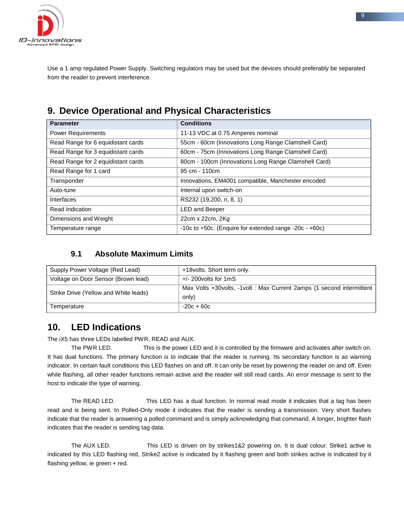

Use a 1 amp regulated Power Supply. Switching regulators may be used but the devices should preferably be separated from the reader to prevent interference.

### **9. Device Operational and Physical Characteristics**

| <b>Parameter</b>                   | <b>Conditions</b>                                      |
|------------------------------------|--------------------------------------------------------|
| <b>Power Requirements</b>          | 11-13 VDC at 0.75 Amperes nominal                      |
| Read Range for 6 equidistant cards | 55cm - 60cm (Innovations Long Range Clamshell Card)    |
| Read Range for 3 equidistant cards | 60cm - 75cm (Innovations Long Range Clamshell Card)    |
| Read Range for 2 equidistant cards | 80cm - 100cm (Innovations Long Range Clamshell Card)   |
| Read Range for 1 card              | 95 cm - 110 cm                                         |
| Transponder                        | Innovations, EM4001 compatible, Manchester encoded     |
| Auto-tune                          | Internal upon switch-on                                |
| Interfaces                         | RS232 (19,200, n, 8, 1)                                |
| Read Indication                    | <b>LED and Beeper</b>                                  |
| Dimensions and Weight              | 22cm x 22cm, 2Kg                                       |
| Temperature range                  | -10c to +50c. (Enquire for extended range -20c - +60c) |

### **9.1 Absolute Maximum Limits**

| Supply Power Voltage (Red Lead)       | +18 volts. Short term only.                                             |
|---------------------------------------|-------------------------------------------------------------------------|
| Voltage on Door Sensor (Brown lead)   | $+/- 200$ volts for 1 mS                                                |
| Strike Drive (Yellow and White leads) | Max Volts +30 volts, -1 volt : Max Current 2amps (1 second intermittent |
|                                       | only)                                                                   |
| Temperature                           | $-20c + 60c$                                                            |

### **10. LED Indications**

The iX5 has three LEDs labelled PWR, READ and AUX.

The PWR LED. This is the power LED and it is controlled by the firmware and activates after switch on. It has dual functions. The primary function is to indicate that the reader is running. Its secondary function is as warning indicator. In certain fault conditions this LED flashes on and off. It can only be reset by powering the reader on and off. Even while flashing, all other reader functions remain active and the reader will still read cards. An error message is sent to the host to indicate the type of warning.

The READ LED. This LED has a dual function. In normal read mode it indicates that a tag has been read and is being sent. In Polled-Only mode it indicates that the reader is sending a transmission. Very short flashes indicate that the reader is answering a polled command and is simply acknowledging that command. A longer, brighter flash indicates that the reader is sending tag data.

The AUX LED. This LED is driven on by strikes1&2 powering on. It is dual colour. Strike1 active is indicated by this LED flashing red, Strike2 active is indicated by it flashing green and both strikes active is indicated by it flashing yellow, ie green + red.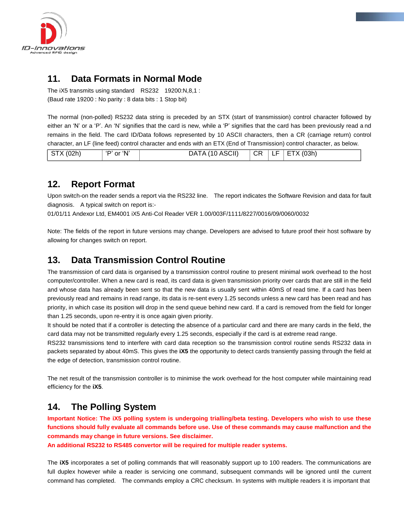

### **11. Data Formats in Normal Mode**

The iX5 transmits using standard RS232 19200:N,8,1 : (Baud rate 19200 : No parity : 8 data bits : 1 Stop bit)

The normal (non-polled) RS232 data string is preceded by an STX (start of transmission) control character followed by either an 'N' or a 'P'. An 'N' signifies that the card is new, while a 'P' signifies that the card has been previously read a nd remains in the field. The card ID/Data follows represented by 10 ASCII characters, then a CR (carriage return) control character, an LF (line feed) control character and ends with an ETX (End of Transmission) control character, as below.

| STX (02h) | 'P' or 'N' | DATA (10 ASCII) |  |  | $\vert$ CR $\vert$ LF $\vert$ ETX (03h) |
|-----------|------------|-----------------|--|--|-----------------------------------------|
|-----------|------------|-----------------|--|--|-----------------------------------------|

### **12. Report Format**

Upon switch-on the reader sends a report via the RS232 line. The report indicates the Software Revision and data for fault diagnosis. A typical switch on report is:-

01/01/11 Andexor Ltd, EM4001 iX5 Anti-Col Reader VER 1.00/003F/1111/8227/0016/09/0060/0032

Note: The fields of the report in future versions may change. Developers are advised to future proof their host software by allowing for changes switch on report.

### **13. Data Transmission Control Routine**

The transmission of card data is organised by a transmission control routine to present minimal work overhead to the host computer/controller. When a new card is read, its card data is given transmission priority over cards that are still in the field and whose data has already been sent so that the new data is usually sent within 40mS of read time. If a card has been previously read and remains in read range, its data is re-sent every 1.25 seconds unless a new card has been read and has priority, in which case its position will drop in the send queue behind new card. If a card is removed from the field for longer than 1.25 seconds, upon re-entry it is once again given priority.

It should be noted that if a controller is detecting the absence of a particular card and there are many cards in the field, the card data may not be transmitted regularly every 1.25 seconds, especially if the card is at extreme read range.

RS232 transmissions tend to interfere with card data reception so the transmission control routine sends RS232 data in packets separated by about 40mS. This gives the **iX5** the opportunity to detect cards transiently passing through the field at the edge of detection, transmission control routine.

The net result of the transmission controller is to minimise the work overhead for the host computer while maintaining read efficiency for the **iX5**.

### **14. The Polling System**

**Important Notice: The iX5 polling system is undergoing trialling/beta testing. Developers who wish to use these functions should fully evaluate all commands before use. Use of these commands may cause malfunction and the commands may change in future versions. See disclaimer.**

**An additional RS232 to RS485 convertor will be required for multiple reader systems.**

The **iX5** incorporates a set of polling commands that will reasonably support up to 100 readers. The communications are full duplex however while a reader is servicing one command, subsequent commands will be ignored until the current command has completed. The commands employ a CRC checksum. In systems with multiple readers it is important that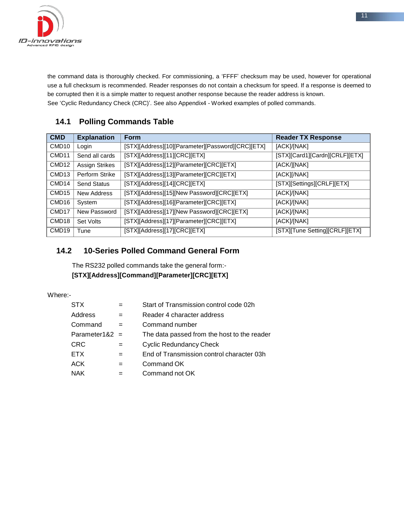

the command data is thoroughly checked. For commissioning, a 'FFFF' checksum may be used, however for operational use a full checksum is recommended. Reader responses do not contain a checksum for speed. If a response is deemed to be corrupted then it is a simple matter to request another response because the reader address is known. See 'Cyclic Redundancy Check (CRC)'. See also Appendix4 - Worked examples of polled commands.

### **14.1 Polling Commands Table**

| <b>CMD</b>        | <b>Explanation</b> | <b>Form</b>                                       | <b>Reader TX Response</b>      |
|-------------------|--------------------|---------------------------------------------------|--------------------------------|
| CMD <sub>10</sub> | Login              | [STX][Address][10][Parameter][Password][CRC][ETX] | [ACK]/[NAK]                    |
| CMD <sub>11</sub> | Send all cards     | [STX][Address][11][CRC][ETX]                      | [STX][Card1][Cardn][CRLF][ETX] |
| CMD <sub>12</sub> | Assign Strikes     | [STX][Address][12][Parameter][CRC][ETX]           | [ACK/][NAK]                    |
| CMD <sub>13</sub> | Perform Strike     | [STX][Address][13][Parameter][CRC][ETX]           | [ACK][/NAK]                    |
| CMD <sub>14</sub> | <b>Send Status</b> | [STX][Address][14][CRC][ETX]                      | [STX][Settings][CRLF][ETX]     |
| CMD <sub>15</sub> | New Address        | [STX][Address][15][New Password][CRC][ETX]        | [ACK]/[NAK]                    |
| CMD <sub>16</sub> | System             | [STX][Address][16][Parameter][CRC][ETX]           | [ACK]/[NAK]                    |
| CMD <sub>17</sub> | New Password       | [STX][Address][17][New Password][CRC][ETX]        | [ACK]/[NAK]                    |
| CMD <sub>18</sub> | Set Volts          | [STX][Address][17][Parameter][CRC][ETX]           | [ACK]/[NAK]                    |
| CMD <sub>19</sub> | Tune               | [STX][Address][17][CRC][ETX]                      | [STX][Tune Setting][CRLF][ETX] |

### **14.2 10-Series Polled Command General Form**

The RS232 polled commands take the general form:- **[STX][Address][Command][Parameter][CRC][ETX]**

Where:-

| STX              |     | Start of Transmission control code 02h      |
|------------------|-----|---------------------------------------------|
| Address          | $=$ | Reader 4 character address                  |
| Command          |     | Command number                              |
| Parameter1&2 $=$ |     | The data passed from the host to the reader |
| CRC              |     | <b>Cyclic Redundancy Check</b>              |
| ETX              |     | End of Transmission control character 03h   |
| ACK              | $=$ | Command OK                                  |
| NAK              |     | Command not OK                              |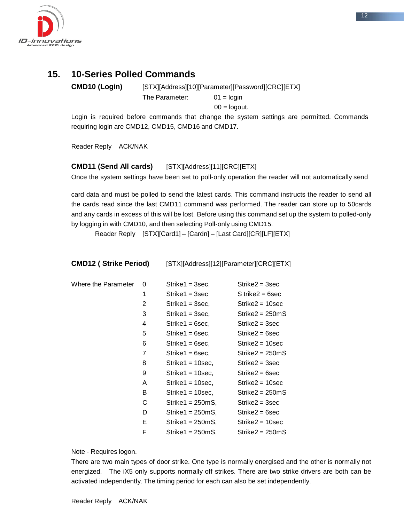

### **15. 10-Series Polled Commands**

**CMD10 (Login)** [STX][Address][10][Parameter][Password][CRC][ETX] The Parameter: 01 = login

 $00 =$ logout.

Login is required before commands that change the system settings are permitted. Commands requiring login are CMD12, CMD15, CMD16 and CMD17.

Reader Reply ACK/NAK

### **CMD11 (Send All cards)** [STX][Address][11][CRC][ETX]

Once the system settings have been set to poll-only operation the reader will not automatically send

card data and must be polled to send the latest cards. This command instructs the reader to send all the cards read since the last CMD11 command was performed. The reader can store up to 50cards and any cards in excess of this will be lost. Before using this command set up the system to polled-only by logging in with CMD10, and then selecting Poll-only using CMD15.

Reader Reply [STX][Card1] – [Cardn] – [Last Card][CR][LF][ETX]

| <b>CMD12 (Strike Period)</b> |                | [STX][Address][12][Parameter][CRC][ETX] |                    |
|------------------------------|----------------|-----------------------------------------|--------------------|
| Where the Parameter          | 0              | $Strike1 = 3 sec,$                      | $Strike2 = 3 sec$  |
|                              | 1              | $Strike1 = 3 sec$                       | $S$ trike2 = 6sec  |
|                              | $\overline{2}$ | Strike1 = 3sec,                         | $Strike2 = 10 sec$ |
|                              | 3              | Strike1 = 3sec,                         | $Strike2 = 250mS$  |
|                              | 4              | $Strike1 = 6 sec$                       | $Strike2 = 3 sec$  |
|                              | 5              | $Strike1 = 6 sec$                       | $Strike2 = 6 sec$  |
|                              | 6              | $Strike1 = 6 sec,$                      | $Strike2 = 10 sec$ |
|                              | 7              | $Strike1 = 6 sec,$                      | $Strike2 = 250mS$  |
|                              | 8              | $Strike1 = 10 sec$ ,                    | $Strike2 = 3 sec$  |
|                              | 9              | $Strike1 = 10 sec$ ,                    | $Strike2 = 6 sec$  |
|                              | A              | $Strike1 = 10 sec$ ,                    | $Strike2 = 10 sec$ |
|                              | B              | $Strike1 = 10 sec$ ,                    | $Strike2 = 250mS$  |
|                              | С              | $Strike1 = 250mS$ ,                     | $Strike2 = 3 sec$  |
|                              | D              | $Strike1 = 250mS$ ,                     | $Strike2 = 6 sec$  |
|                              | E.             | $Strike1 = 250mS$ ,                     | $Strike2 = 10 sec$ |
|                              | F              | $Strike1 = 250mS$                       | $Strike2 = 250mS$  |

Note - Requires logon.

There are two main types of door strike. One type is normally energised and the other is normally not energized. The iX5 only supports normally off strikes. There are two strike drivers are both can be activated independently. The timing period for each can also be set independently.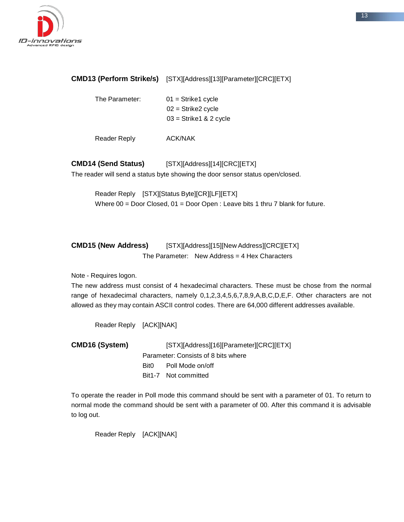

### **CMD13 (Perform Strike/s)** [STX][Address][13][Parameter][CRC][ETX]

The Parameter: 01 = Strike1 cycle  $02 =$ Strike2 cycle 03 = Strike1 & 2 cycle

Reader Reply ACK/NAK

**CMD14 (Send Status)** [STX][Address][14][CRC][ETX] The reader will send a status byte showing the door sensor status open/closed.

Reader Reply [STX][Status Byte][CR][LF][ETX] Where  $00 = Door$  Closed,  $01 = Door$  Open : Leave bits 1 thru 7 blank for future.

**CMD15 (New Address)** [STX][Address][15][New Address][CRC][ETX] The Parameter: New Address = 4 Hex Characters

Note - Requires logon.

The new address must consist of 4 hexadecimal characters. These must be chose from the normal range of hexadecimal characters, namely 0,1,2,3,4,5,6,7,8,9,A,B,C,D,E,F. Other characters are not allowed as they may contain ASCII control codes. There are 64,000 different addresses available.

Reader Reply [ACK][NAK]

**CMD16 (System)** [STX][Address][16][Parameter][CRC][ETX] Parameter: Consists of 8 bits where Bit0 Poll Mode on/off Bit1-7 Not committed

To operate the reader in Poll mode this command should be sent with a parameter of 01. To return to normal mode the command should be sent with a parameter of 00. After this command it is advisable to log out.

Reader Reply [ACK][NAK]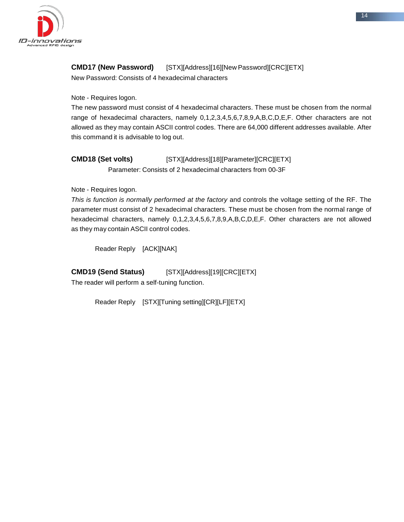

### **CMD17 (New Password)** [STX][Address][16][New Password][CRC][ETX]

New Password: Consists of 4 hexadecimal characters

Note - Requires logon.

The new password must consist of 4 hexadecimal characters. These must be chosen from the normal range of hexadecimal characters, namely 0,1,2,3,4,5,6,7,8,9,A,B,C,D,E,F. Other characters are not allowed as they may contain ASCII control codes. There are 64,000 different addresses available. After this command it is advisable to log out.

**CMD18 (Set volts)** [STX][Address][18][Parameter][CRC][ETX] Parameter: Consists of 2 hexadecimal characters from 00-3F

Note - Requires logon.

*This is function is normally performed at the factory* and controls the voltage setting of the RF. The parameter must consist of 2 hexadecimal characters. These must be chosen from the normal range of hexadecimal characters, namely 0,1,2,3,4,5,6,7,8,9,A,B,C,D,E,F. Other characters are not allowed as they may contain ASCII control codes.

Reader Reply [ACK][NAK]

**CMD19 (Send Status)** [STX][Address][19][CRC][ETX]

The reader will perform a self-tuning function.

Reader Reply [STX][Tuning setting][CR][LF][ETX]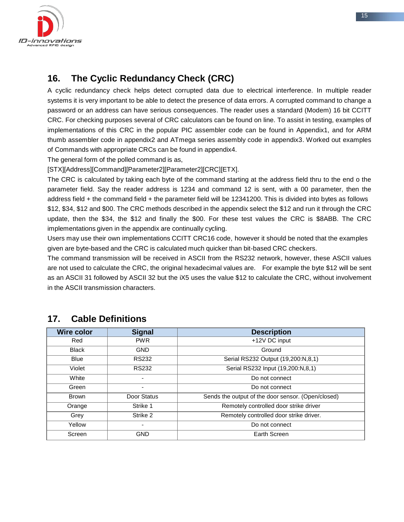

### **16. The Cyclic Redundancy Check (CRC)**

A cyclic redundancy check helps detect corrupted data due to electrical interference. In multiple reader systems it is very important to be able to detect the presence of data errors. A corrupted command to change a password or an address can have serious consequences. The reader uses a standard (Modem) 16 bit CCITT CRC. For checking purposes several of CRC calculators can be found on line. To assist in testing, examples of implementations of this CRC in the popular PIC assembler code can be found in Appendix1, and for ARM thumb assembler code in appendix2 and ATmega series assembly code in appendix3. Worked out examples of Commands with appropriate CRCs can be found in appendix4.

The general form of the polled command is as,

[STX][Address][Command][Parameter2][Parameter2][CRC][ETX].

The CRC is calculated by taking each byte of the command starting at the address field thru to the end o the parameter field. Say the reader address is 1234 and command 12 is sent, with a 00 parameter, then the address field + the command field + the parameter field will be 12341200. This is divided into bytes as follows \$12, \$34, \$12 and \$00. The CRC methods described in the appendix select the \$12 and run it through the CRC update, then the \$34, the \$12 and finally the \$00. For these test values the CRC is \$8ABB. The CRC implementations given in the appendix are continually cycling.

Users may use their own implementations CCITT CRC16 code, however it should be noted that the examples given are byte-based and the CRC is calculated much quicker than bit-based CRC checkers.

The command transmission will be received in ASCII from the RS232 network, however, these ASCII values are not used to calculate the CRC, the original hexadecimal values are. For example the byte \$12 will be sent as an ASCII 31 followed by ASCII 32 but the iX5 uses the value \$12 to calculate the CRC, without involvement in the ASCII transmission characters.

| Wire color   | <b>Signal</b>  | <b>Description</b>                                 |
|--------------|----------------|----------------------------------------------------|
| Red          | <b>PWR</b>     | +12V DC input                                      |
| <b>Black</b> | <b>GND</b>     | Ground                                             |
| <b>Blue</b>  | <b>RS232</b>   | Serial RS232 Output (19,200:N,8,1)                 |
| Violet       | <b>RS232</b>   | Serial RS232 Input (19,200:N,8,1)                  |
| White        | $\blacksquare$ | Do not connect                                     |
| Green        | $\blacksquare$ | Do not connect                                     |
| <b>Brown</b> | Door Status    | Sends the output of the door sensor. (Open/closed) |
| Orange       | Strike 1       | Remotely controlled door strike driver             |
| Grey         | Strike 2       | Remotely controlled door strike driver.            |
| Yellow       |                | Do not connect                                     |
| Screen       | GND            | Earth Screen                                       |

### **17. Cable Definitions**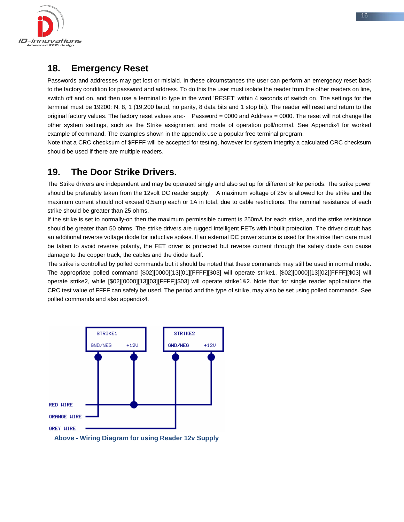

### **18. Emergency Reset**

Passwords and addresses may get lost or mislaid. In these circumstances the user can perform an emergency reset back to the factory condition for password and address. To do this the user must isolate the reader from the other readers on line, switch off and on, and then use a terminal to type in the word 'RESET' within 4 seconds of switch on. The settings for the terminal must be 19200: N, 8, 1 (19,200 baud, no parity, 8 data bits and 1 stop bit). The reader will reset and return to the original factory values. The factory reset values are:- Password = 0000 and Address = 0000. The reset will not change the other system settings, such as the Strike assignment and mode of operation poll/normal. See Appendix4 for worked example of command. The examples shown in the appendix use a popular free terminal program.

Note that a CRC checksum of \$FFFF will be accepted for testing, however for system integrity a calculated CRC checksum should be used if there are multiple readers.

### **19. The Door Strike Drivers.**

The Strike drivers are independent and may be operated singly and also set up for different strike periods. The strike power should be preferably taken from the 12volt DC reader supply. A maximum voltage of 25v is allowed for the strike and the maximum current should not exceed 0.5amp each or 1A in total, due to cable restrictions. The nominal resistance of each strike should be greater than 25 ohms.

If the strike is set to normally-on then the maximum permissible current is 250mA for each strike, and the strike resistance should be greater than 50 ohms. The strike drivers are rugged intelligent FETs with inbuilt protection. The driver circuit has an additional reverse voltage diode for inductive spikes. If an external DC power source is used for the strike then care must be taken to avoid reverse polarity, the FET driver is protected but reverse current through the safety diode can cause damage to the copper track, the cables and the diode itself.

The strike is controlled by polled commands but it should be noted that these commands may still be used in normal mode. The appropriate polled command [\$02][0000][13][01][FFFF][\$03] will operate strike1, [\$02][0000][13][02][FFFF][\$03] will operate strike2, while [\$02][0000][13][03][FFFF][\$03] will operate strike1&2. Note that for single reader applications the CRC test value of FFFF can safely be used. The period and the type of strike, may also be set using polled commands. See polled commands and also appendix4.



**Above - Wiring Diagram for using Reader 12v Supply**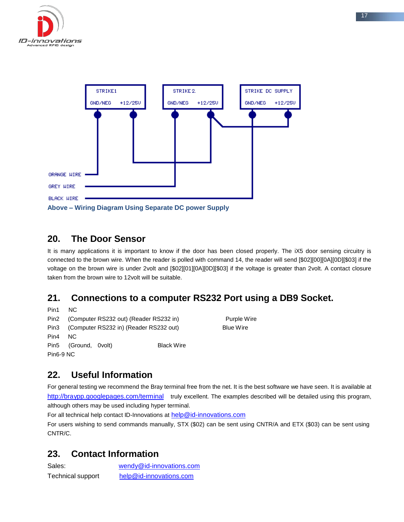



### **20. The Door Sensor**

It is many applications it is important to know if the door has been closed properly. The iX5 door sensing circuitry is connected to the brown wire. When the reader is polled with command 14, the reader will send [\$02][00][0A][0D][\$03] if the voltage on the brown wire is under 2volt and [\$02][01][0A][0D][\$03] if the voltage is greater than 2volt. A contact closure taken from the brown wire to 12volt will be suitable.

### **21. Connections to a computer RS232 Port using a DB9 Socket.**

```
Pin1 NC
Pin2 (Computer RS232 out) (Reader RS232 in) Purple Wire
Pin3 (Computer RS232 in) (Reader RS232 out) Blue Wire
Pin4 NC
Pin5 (Ground, 0volt) Black Wire
Pin6-9 NC
```
### **22. Useful Information**

For general testing we recommend the Bray terminal free from the net. It is the best software we have seen. It is available at <http://braypp.googlepages.com/terminal>truly excellent. The examples described will be detailed using this program, although others may be used including hyper terminal.

For all technical help contact ID-Innovations at [help@id-innovations.com](mailto:help@id-innovations.com)

For users wishing to send commands manually, STX (\$02) can be sent using CNTR/A and ETX (\$03) can be sent using CNTR/C.

### **23. Contact Information**

| Sales:            | wendy@id-innovations.com |
|-------------------|--------------------------|
| Technical support | help@id-innovations.com  |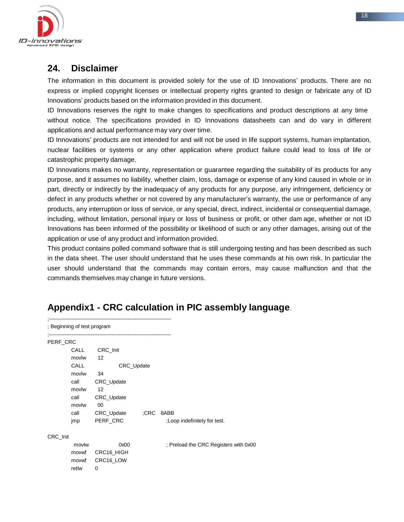

### **24. Disclaimer**

The information in this document is provided solely for the use of ID Innovations' products. There are no express or implied copyright licenses or intellectual property rights granted to design or fabricate any of ID Innovations' products based on the information provided in this document.

ID Innovations reserves the right to make changes to specifications and product descriptions at any time without notice. The specifications provided in ID Innovations datasheets can and do vary in different applications and actual performance may vary over time.

ID Innovations' products are not intended for and will not be used in life support systems, human implantation, nuclear facilities or systems or any other application where product failure could lead to loss of life or catastrophic property damage.

ID Innovations makes no warranty, representation or guarantee regarding the suitability of its products for any purpose, and it assumes no liability, whether claim, loss, damage or expense of any kind caused in whole or in part, directly or indirectly by the inadequacy of any products for any purpose, any infringement, deficiency or defect in any products whether or not covered by any manufacturer's warranty, the use or performance of any products, any interruption or loss of service, or any special, direct, indirect, incidental or consequential damage, including, without limitation, personal injury or loss of business or profit, or other dam age, whether or not ID Innovations has been informed of the possibility or likelihood of such or any other damages, arising out of the application or use of any product and information provided.

This product contains polled command software that is still undergoing testing and has been described as such in the data sheet. The user should understand that he uses these commands at his own risk. In particular the user should understand that the commands may contain errors, may cause malfunction and that the commands themselves may change in future versions.

### **Appendix1 - CRC calculation in PIC assembly language**.

| ; Beginning of test program |       |                                        |     |                                       |  |
|-----------------------------|-------|----------------------------------------|-----|---------------------------------------|--|
| PERF_CRC                    |       | -------------------------------------- |     |                                       |  |
|                             | CALL  | CRC_Init                               |     |                                       |  |
|                             | movlw | 12                                     |     |                                       |  |
|                             | CALL  | CRC_Update                             |     |                                       |  |
|                             | movlw | 34                                     |     |                                       |  |
|                             | call  | CRC_Update                             |     |                                       |  |
|                             | movlw | 12                                     |     |                                       |  |
|                             | call  | CRC_Update                             |     |                                       |  |
|                             | movlw | 00                                     |     |                                       |  |
|                             | call  | CRC_Update                             | CRC | 8ABB                                  |  |
|                             | jmp   | PERF CRC                               |     | :Loop indefinitely for test.          |  |
| CRC Init                    |       |                                        |     |                                       |  |
|                             | movlw | 0x00                                   |     | ; Preload the CRC Registers with 0x00 |  |
|                             | movwf | CRC16_HIGH                             |     |                                       |  |
|                             | movwf | CRC16_LOW                              |     |                                       |  |
|                             | retlw | 0                                      |     |                                       |  |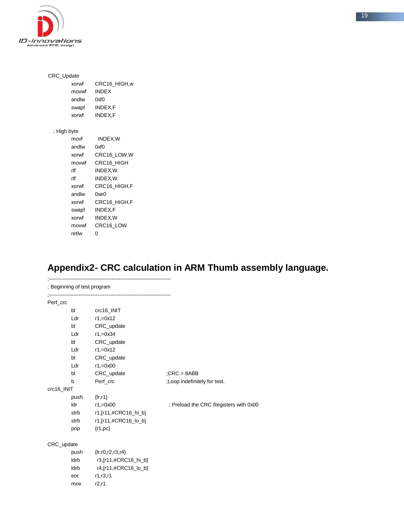

| CRC_Update  |       |              |  |
|-------------|-------|--------------|--|
|             | xorwf | CRC16 HIGH,w |  |
|             | movwf | <b>INDEX</b> |  |
|             | andlw | 0xf0         |  |
|             | swapf | INDEX,F      |  |
|             | xorwf | INDEX,F      |  |
| ; High byte |       |              |  |
|             | movf  | INDEX,W      |  |
|             | andlw | 0xf0         |  |
|             |       |              |  |
|             | xorwf | CRC16_LOW, W |  |
|             | movwf | CRC16 HIGH   |  |
|             | rlf   | INDEX, W     |  |
|             | rlf   | INDEX, W     |  |
|             | xorwf | CRC16_HIGH,F |  |
|             | andlw | 0xe0         |  |
|             | xorwf | CRC16 HIGH,F |  |
|             | swapf | INDEX,F      |  |
|             | xorwf | INDEX, W     |  |
|             | movwf | CRC16 LOW    |  |

retlw 0

## **Appendix2- CRC calculation in ARM Thumb assembly language.**

|            | ; Beginning of test program |                                                                                                                                |                                       |
|------------|-----------------------------|--------------------------------------------------------------------------------------------------------------------------------|---------------------------------------|
| Perf_crc   |                             |                                                                                                                                |                                       |
|            | bl                          | crc16_INIT                                                                                                                     |                                       |
|            | Ldr                         | $r1, = 0x12$                                                                                                                   |                                       |
|            | bl                          | CRC_update                                                                                                                     |                                       |
|            | Ldr                         | $r1, =0x34$                                                                                                                    |                                       |
|            | bl                          | CRC_update                                                                                                                     |                                       |
|            | Ldr                         | $r1, = 0x12$                                                                                                                   |                                       |
|            | bl                          | CRC_update                                                                                                                     |                                       |
|            | Ldr                         | $r1, =0x00$                                                                                                                    |                                       |
|            | bl                          | CRC_update                                                                                                                     | $;CRC = 8ABB$                         |
|            | b                           | Perf crc                                                                                                                       | ;Loop indefinitely for test.          |
| crc16_INIT |                             |                                                                                                                                |                                       |
|            | push                        | $\{lr, r1\}$                                                                                                                   |                                       |
|            | Idr                         | $r1, =0x00$                                                                                                                    | ; Preload the CRC Registers with 0x00 |
|            |                             |                                                                                                                                |                                       |
|            | strb                        | r1,[r11,#CRC16_lo_b]                                                                                                           |                                       |
|            | pop                         | $\{r1,pc\}$                                                                                                                    |                                       |
| CRC_update |                             |                                                                                                                                |                                       |
|            | eor<br>mov                  | push {lr, r0, r2, r3, r4}<br>$ldrb$ $r3,[r11, \#CRC16_hi_b]$<br>$ldrb$ $r4$ , $[r11, #CRC16$ $lo$ $bl$<br>r1, r3, r1<br>r2, r1 |                                       |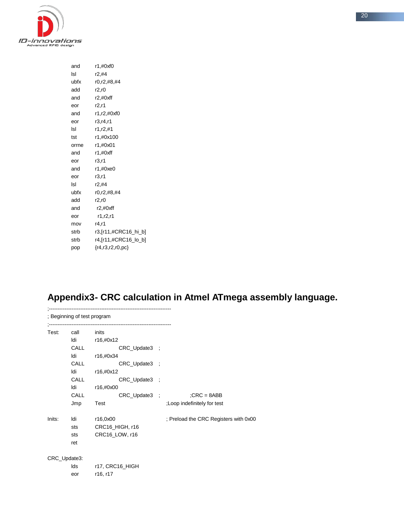

| and   | r1,#0xf0               |
|-------|------------------------|
| Isl   | r2,#4                  |
| ubfx  | r0,r2,#8,#4            |
| add   | r2.r0                  |
| and   | r2, #0xff              |
| eor   | r2, r1                 |
| and   | r1,r2,#0xf0            |
| eor   | r3.r4.r1               |
| Isl   | r1.r2.#1               |
| tst   | r1,#0x100              |
| orrne | r1,#0x01               |
| and   | r1,#0xff               |
| eor   | r3.r1                  |
| and   | r1,#0xe0               |
| eor   | r3.r1                  |
| Isl   | r2.#4                  |
| ubfx  | r0,r2,#8,#4            |
| add   | r2.r0                  |
| and   | r2, #0xff              |
| eor   | r1.r2.r1               |
| mov   | r4.r1                  |
| strb  | r3,[r11,#CRC16_hi_b]   |
| strb  | r4,[r11,#CRC16_lo_b]   |
| pop   | ${r4, r3, r2, r0, pc}$ |

## **Appendix3- CRC calculation in Atmel ATmega assembly language.**

|        | ; Beginning of test program |                                                   |
|--------|-----------------------------|---------------------------------------------------|
|        |                             |                                                   |
| Test:  | call                        | inits                                             |
|        | <b>Idi</b>                  | r16,#0x12                                         |
|        | CALL                        | CRC_Update3 ;                                     |
|        | ldi                         | r16,#0x34                                         |
|        | <b>CALL</b>                 | CRC_Update3 ;                                     |
|        | ldi                         | r16,#0x12                                         |
|        | <b>CALL</b>                 | CRC_Update3 ;                                     |
|        | ldi                         | r16,#0x00                                         |
|        | CALL                        | CRC_Update3 ;<br>$;CRC = 8ABB$                    |
|        | Jmp                         | Test<br>;Loop indefinitely for test               |
| Inits: | ldi                         | ; Preload the CRC Registers with 0x00<br>r16,0x00 |
|        | sts                         | CRC16_HIGH, r16                                   |
|        | sts                         | CRC16_LOW, r16                                    |
|        | ret                         |                                                   |
|        | CRC_Update3:                |                                                   |
|        | lds                         | r17, CRC16_HIGH                                   |
|        | eor                         | r16, r17                                          |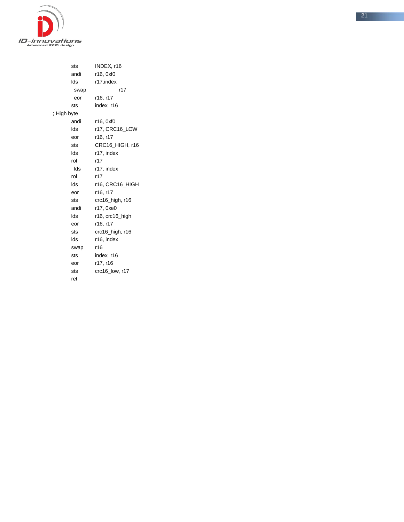

| sts         | INDEX, r16           |
|-------------|----------------------|
| andi        | r16, 0xf0            |
| lds         | r17, index           |
| swap        | r17                  |
| eor         | r16, r17             |
| sts         | index, r16           |
| ; High byte |                      |
| andi        | r16, 0xf0            |
| lds         | r17, CRC16 LOW       |
| eor         | r16, r17             |
| sts         | CRC16_HIGH, r16      |
| lds         | r17, index           |
| rol         | r17                  |
| lds         | r17, index           |
| rol         | r17                  |
| lds         | r16, CRC16 HIGH      |
| eor         | r16, r17             |
| sts         | $crc16$ _high, $r16$ |
| andi        | r17, 0xe0            |
| lds         | r16, crc16_high      |
| eor         | r16, r17             |
| sts         | crc16_high, r16      |
| lds         | r16, index           |
| swap        | r16                  |
| sts         | index, r16           |
| eor         | r17, r16             |
| sts         | crc16_low, r17       |
| ret         |                      |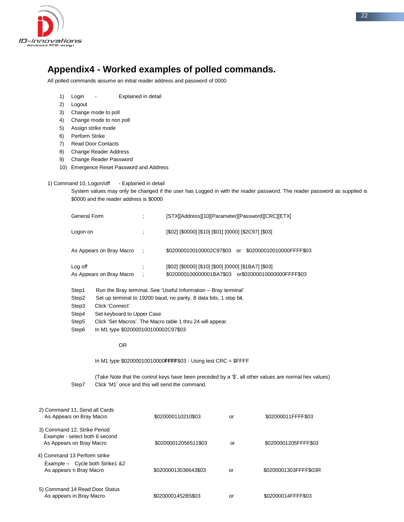

### **Appendix4 - Worked examples of polled commands.**

All polled commands assume an initial reader address and password of 0000

- 1) Login Explained in detail
- 2) Logout
- 3) Change mode to poll
- 4) Change mode to non poll
- 5) Assign strike mode
- 6) Perform Strike
- 7) Read Door Contacts
- 8) Change Reader Address
- 9) Change Reader Password
- 10) Emergence Reset Password and Address

### 1) Command 10, Logon/off - Explained in detail

System values may only be changed if the user has Logged in with the reader password. The reader password as supplied is \$0000 and the reader address is \$0000

| General Form                        |                | [STX][Address][10][Parameter][Password][CRC][ETX]                                                           |
|-------------------------------------|----------------|-------------------------------------------------------------------------------------------------------------|
| Logon on                            |                | [\$02] [\$0000] [\$10] [\$01] [0000] [\$2C97] [\$03]                                                        |
| As Appears on Bray Macro            | $\mathcal{L}$  | \$020000100100002C97\$03 or \$02000010010000FFFF\$03                                                        |
| Log off<br>As Appears on Bray Macro | $\ddot{\cdot}$ | [\$02] [\$0000] [\$10] [\$00] [0000] [\$1BA7] [\$03]<br>\$020000100000001BA7\$03 or\$02000010000000FFFF\$03 |

- Step1 Run the Bray terminal. See 'Useful Information Bray terminal'
- Step2 Set up terminal to 19200 baud, no parity, 8 data bits, 1 stop bit.
- Step3 Click 'Connect'
- Step4 Set keyboard to Upper Case
- Step5 Click 'Set Macros'. The Macro table 1 thru 24 will appear.
- Step6 In M1 type \$020000100100002C97\$03

### OR

In M1 type \$02000010010000**FFFF**\$03 - Using test CRC = \$FFFF

(Take Note that the control keys have been preceded by a '\$', all other values are normal hex values) Step7 Click 'M1' once and this will send the command.

| 2) Command 11, Send all Cards<br>As Appears on Bray Macro                                    | \$020000110210\$03   | or | \$02000011FFFF\$03    |
|----------------------------------------------------------------------------------------------|----------------------|----|-----------------------|
| 3) Command 12, Strike Period<br>Example - select both 6 second<br>As Appears on Bray Macro   | \$02000012056511\$03 | or | \$0200001205FFFF\$03  |
| 4) Command 13 Perform strike<br>Example - Cycle both Strike 1 & 2<br>As appears n Bray Macro | \$02000013036643\$03 | or | \$0200001303FFFF\$03R |
| 5) Command 14 Read Door Status<br>As appears in Bray Macro                                   | \$0200001452B5\$03   | or | \$02000014FFFF\$03    |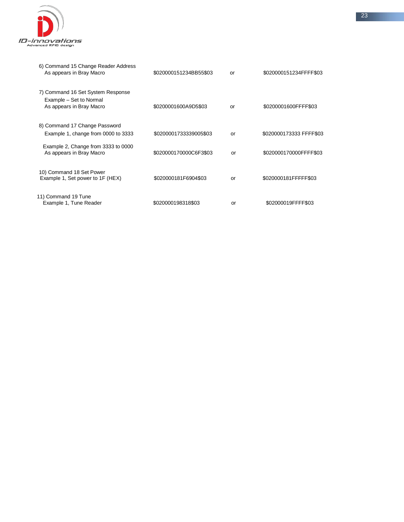

| 6) Command 15 Change Reader Address<br>As appears in Bray Macro                          | \$020000151234BB55\$03 | or | \$020000151234FFFF\$03  |
|------------------------------------------------------------------------------------------|------------------------|----|-------------------------|
| 7) Command 16 Set System Response<br>Example - Set to Normal<br>As appears in Bray Macro | \$0200001600A9D5\$03   | or | \$0200001600FFFF\$03    |
| 8) Command 17 Change Password<br>Example 1, change from 0000 to 3333                     | \$0200001733339005\$03 | or | \$020000173333 FFFF\$03 |
| Example 2, Change from 3333 to 0000<br>As appears in Bray Macro                          | \$020000170000C6F3\$03 | or | \$020000170000FFFF\$03  |
| 10) Command 18 Set Power<br>Example 1, Set power to 1F (HEX)                             | \$020000181F6904\$03   | or | \$020000181FFFFF\$03    |
| 11) Command 19 Tune<br>Example 1, Tune Reader                                            | \$020000198318\$03     | or | \$02000019FFFF\$03      |